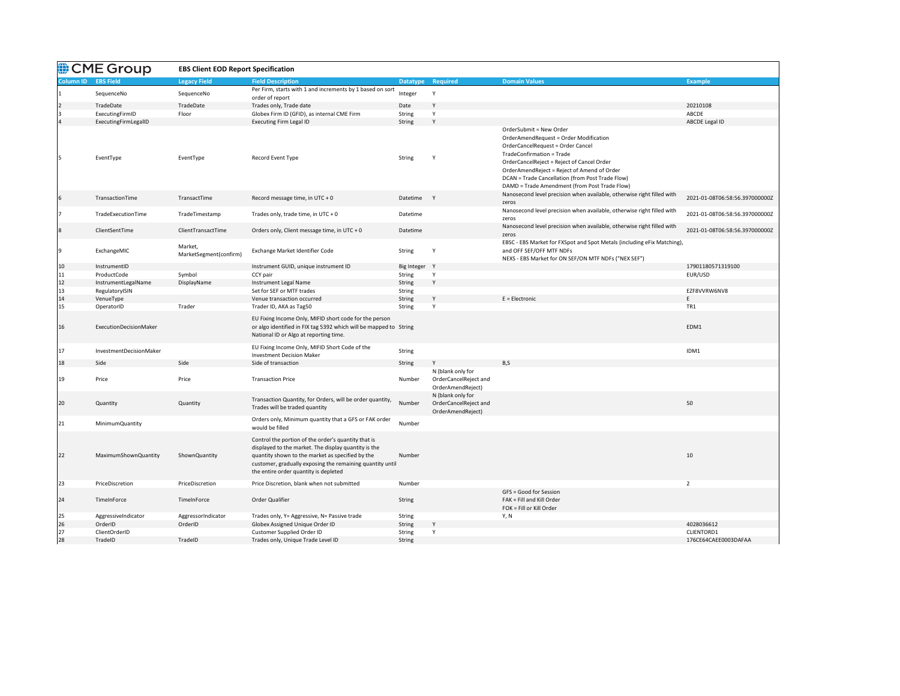|                  | CME Group               | <b>EBS Client EOD Report Specification</b> |                                                                                                                                                                                                                                                                       |                 |                                                                 |                                                                                                                                                                                                                                                                                                                                              |                                |
|------------------|-------------------------|--------------------------------------------|-----------------------------------------------------------------------------------------------------------------------------------------------------------------------------------------------------------------------------------------------------------------------|-----------------|-----------------------------------------------------------------|----------------------------------------------------------------------------------------------------------------------------------------------------------------------------------------------------------------------------------------------------------------------------------------------------------------------------------------------|--------------------------------|
| <b>Column ID</b> | <b>EBS Field</b>        | <b>Legacy Field</b>                        | <b>Field Description</b>                                                                                                                                                                                                                                              | <b>Datatype</b> | Required                                                        | <b>Domain Values</b>                                                                                                                                                                                                                                                                                                                         | <b>Example</b>                 |
|                  | SequenceNo              | SequenceNo                                 | Per Firm, starts with 1 and increments by 1 based on sort<br>order of report                                                                                                                                                                                          | Integer         |                                                                 |                                                                                                                                                                                                                                                                                                                                              |                                |
| $\overline{2}$   | TradeDate               | TradeDate                                  | Trades only, Trade date                                                                                                                                                                                                                                               | Date            | Y                                                               |                                                                                                                                                                                                                                                                                                                                              | 20210108                       |
| I3               | ExecutingFirmID         | Floor                                      | Globex Firm ID (GFID), as internal CME Firm                                                                                                                                                                                                                           | String          |                                                                 |                                                                                                                                                                                                                                                                                                                                              | ABCDE                          |
|                  | ExecutingFirmLegalID    |                                            | <b>Executing Firm Legal ID</b>                                                                                                                                                                                                                                        | String          |                                                                 |                                                                                                                                                                                                                                                                                                                                              | <b>ABCDE Legal ID</b>          |
|                  | EventType               | EventType                                  | Record Event Type                                                                                                                                                                                                                                                     | String          | $\mathsf{Y}$                                                    | OrderSubmit = New Order<br><b>OrderAmendRequest = Order Modification</b><br>OrderCancelRequest = Order Cancel<br>TradeConfirmation = Trade<br>OrderCancelReject = Reject of Cancel Order<br>OrderAmendReject = Reject of Amend of Order<br>DCAN = Trade Cancellation (from Post Trade Flow)<br>DAMD = Trade Amendment (from Post Trade Flow) |                                |
| 16               | TransactionTime         | TransactTime                               | Record message time, in UTC + $0$                                                                                                                                                                                                                                     | Datetime Y      |                                                                 | Nanosecond level precision when available, otherwise right filled with<br>zeros                                                                                                                                                                                                                                                              | 2021-01-08T06:58:56.397000000Z |
|                  | TradeExecutionTime      | TradeTimestamp                             | Trades only, trade time, in $UTC + 0$                                                                                                                                                                                                                                 | Datetime        |                                                                 | Nanosecond level precision when available, otherwise right filled with<br>zeros                                                                                                                                                                                                                                                              | 2021-01-08T06:58:56.397000000Z |
| 8                | ClientSentTime          | ClientTransactTime                         | Orders only, Client message time, in UTC + 0                                                                                                                                                                                                                          | Datetime        |                                                                 | Nanosecond level precision when available, otherwise right filled with<br>zeros                                                                                                                                                                                                                                                              | 2021-01-08T06:58:56.397000000Z |
| Ι9               | ExchangeMIC             | Market,<br>MarketSegment(confirm)          | Exchange Market Identifier Code                                                                                                                                                                                                                                       | String          |                                                                 | EBSC - EBS Market for FXSpot and Spot Metals (including eFix Matching),<br>and OFF SEF/OFF MTF NDFs<br>NEXS - EBS Market for ON SEF/ON MTF NDFs ("NEX SEF")                                                                                                                                                                                  |                                |
| 10               | InstrumentID            |                                            | Instrument GUID, unique instrument ID                                                                                                                                                                                                                                 | Big Integer Y   |                                                                 |                                                                                                                                                                                                                                                                                                                                              | 17901180571319100              |
| 11               | ProductCode             | Symbol                                     | CCY pair                                                                                                                                                                                                                                                              | String          |                                                                 |                                                                                                                                                                                                                                                                                                                                              | EUR/USD                        |
| 12               | InstrumentLegalName     | DisplayName                                | Instrument Legal Name                                                                                                                                                                                                                                                 | String          | Y                                                               |                                                                                                                                                                                                                                                                                                                                              |                                |
| 13               | RegulatoryISIN          |                                            | Set for SEF or MTF trades                                                                                                                                                                                                                                             | <b>String</b>   |                                                                 |                                                                                                                                                                                                                                                                                                                                              | EZF8VVRW6NV8                   |
| 14               | VenueType               |                                            | Venue transaction occurred                                                                                                                                                                                                                                            | String          |                                                                 | E = Electronic                                                                                                                                                                                                                                                                                                                               |                                |
| <sup>15</sup>    | OperatorID              | Trader                                     | Trader ID, AKA as Tag50                                                                                                                                                                                                                                               | <b>String</b>   |                                                                 |                                                                                                                                                                                                                                                                                                                                              | TR <sub>1</sub>                |
| 16               | ExecutionDecisionMaker  |                                            | EU Fixing Income Only, MIFID short code for the person<br>or algo identified in FIX tag 5392 which will be mapped to String<br>National ID or Algo at reporting time.                                                                                                 |                 |                                                                 |                                                                                                                                                                                                                                                                                                                                              | EDM1                           |
| 17               | InvestmentDecisionMaker |                                            | EU Fixing Income Only, MIFID Short Code of the<br><b>Investment Decision Maker</b>                                                                                                                                                                                    | String          |                                                                 |                                                                                                                                                                                                                                                                                                                                              | IDM1                           |
| 18               | Side                    | Side                                       | Side of transaction                                                                                                                                                                                                                                                   | String          | Y                                                               | B, S                                                                                                                                                                                                                                                                                                                                         |                                |
| 19               | Price                   | Price                                      | <b>Transaction Price</b>                                                                                                                                                                                                                                              | Number          | N (blank only for<br>OrderCancelReject and<br>OrderAmendReject) |                                                                                                                                                                                                                                                                                                                                              |                                |
| 20               | Quantity                | Quantity                                   | Transaction Quantity, for Orders, will be order quantity,<br>Trades will be traded quantity                                                                                                                                                                           | Number          | N (blank only for<br>OrderCancelReject and<br>OrderAmendReject) |                                                                                                                                                                                                                                                                                                                                              | 50                             |
| 21               | MinimumQuantity         |                                            | Orders only, Minimum quantity that a GFS or FAK order<br>would be filled                                                                                                                                                                                              | Number          |                                                                 |                                                                                                                                                                                                                                                                                                                                              |                                |
| 22               | MaximumShownQuantity    | ShownQuantity                              | Control the portion of the order's quantity that is<br>displayed to the market. The display quantity is the<br>quantity shown to the market as specified by the<br>customer, gradually exposing the remaining quantity until<br>the entire order quantity is depleted | Number          |                                                                 |                                                                                                                                                                                                                                                                                                                                              | 10                             |
| 23               | PriceDiscretion         | PriceDiscretion                            | Price Discretion, blank when not submitted                                                                                                                                                                                                                            | Number          |                                                                 |                                                                                                                                                                                                                                                                                                                                              | $\overline{2}$                 |
| 24               | TimeInForce             | TimeInForce                                | Order Qualifier                                                                                                                                                                                                                                                       | String          |                                                                 | GFS = Good for Session<br>FAK = Fill and Kill Order<br>FOK = Fill or Kill Order                                                                                                                                                                                                                                                              |                                |
| 25               | AggressiveIndicator     | AggressorIndicator                         | Trades only, Y= Aggressive, N= Passive trade                                                                                                                                                                                                                          | String          |                                                                 | Y, N                                                                                                                                                                                                                                                                                                                                         |                                |
| 26               | OrderID                 | OrderID                                    | Globex Assigned Unique Order ID                                                                                                                                                                                                                                       | String          | Y                                                               |                                                                                                                                                                                                                                                                                                                                              | 4028036612                     |
| 27               | ClientOrderID           |                                            | Customer Supplied Order ID                                                                                                                                                                                                                                            | String          | $\mathbf v$                                                     |                                                                                                                                                                                                                                                                                                                                              | CLIENTORD1                     |
| 28               | TradeID                 | TradeID                                    | Trades only, Unique Trade Level ID                                                                                                                                                                                                                                    | String          |                                                                 |                                                                                                                                                                                                                                                                                                                                              | 176CE64CAEE0003DAFAA           |